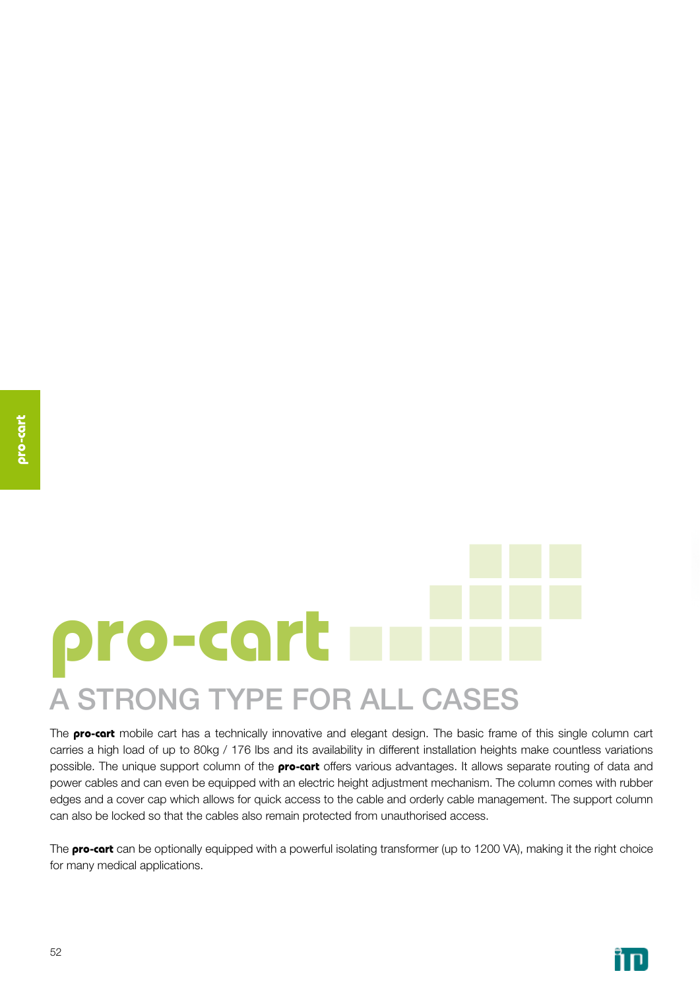# **pro-cart** a strong type for all cases

The **pro-cart** mobile cart has a technically innovative and elegant design. The basic frame of this single column cart carries a high load of up to 80kg / 176 lbs and its availability in different installation heights make countless variations possible. The unique support column of the **pro-cart** offers various advantages. It allows separate routing of data and power cables and can even be equipped with an electric height adjustment mechanism. The column comes with rubber edges and a cover cap which allows for quick access to the cable and orderly cable management. The support column can also be locked so that the cables also remain protected from unauthorised access.

The **pro-cart** can be optionally equipped with a powerful isolating transformer (up to 1200 VA), making it the right choice for many medical applications.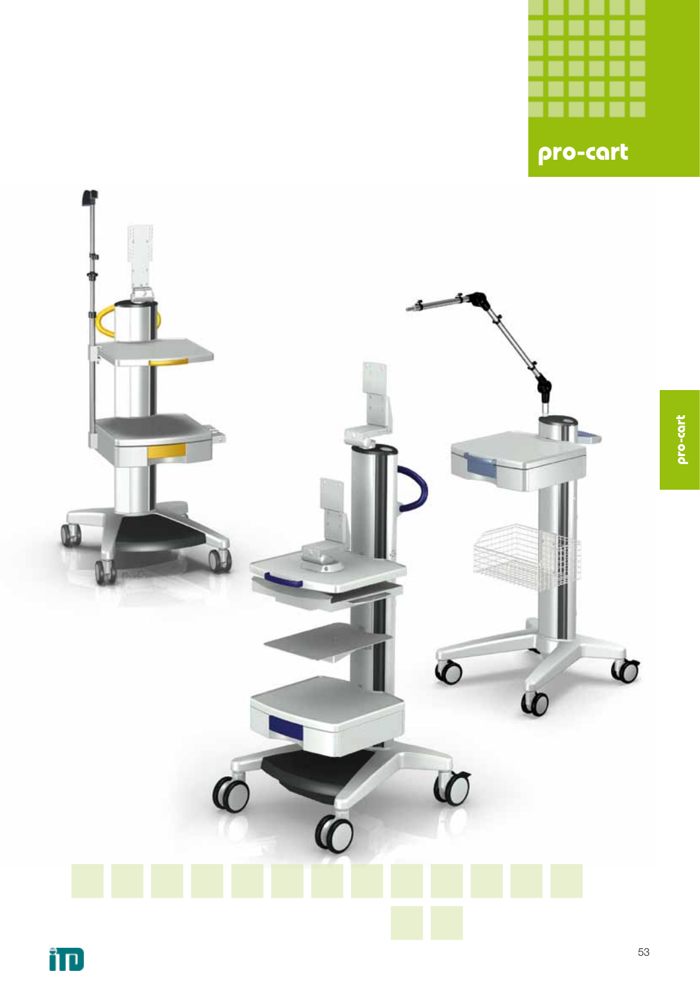

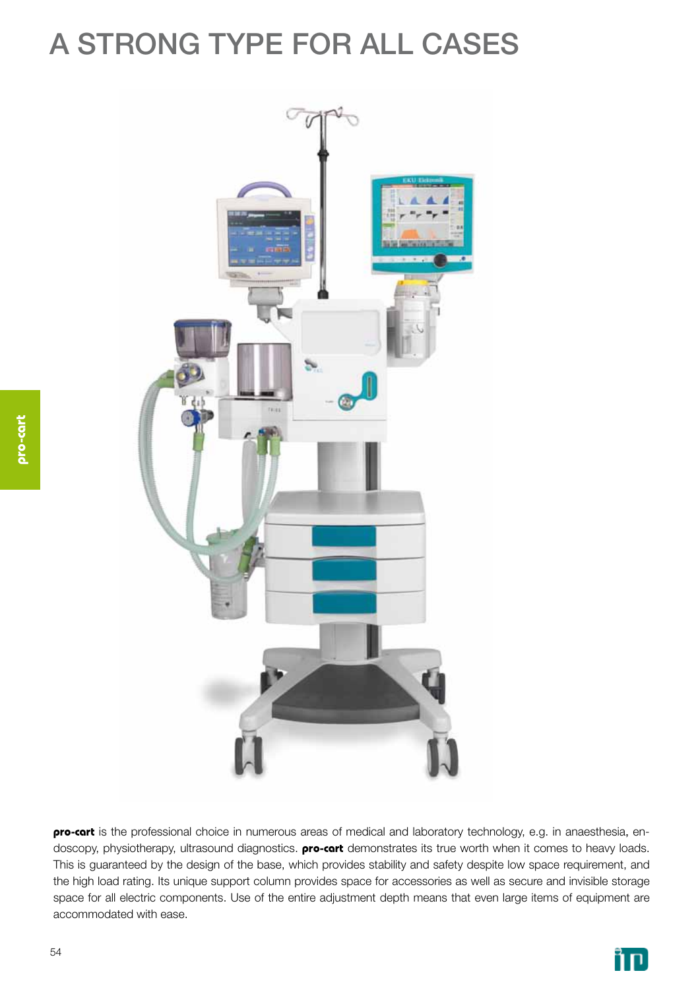### a strong type for all cases



**pro-cart** is the professional choice in numerous areas of medical and laboratory technology, e.g. in anaesthesia, endoscopy, physiotherapy, ultrasound diagnostics. **pro-cart** demonstrates its true worth when it comes to heavy loads. This is guaranteed by the design of the base, which provides stability and safety despite low space requirement, and the high load rating. Its unique support column provides space for accessories as well as secure and invisible storage space for all electric components. Use of the entire adjustment depth means that even large items of equipment are accommodated with ease.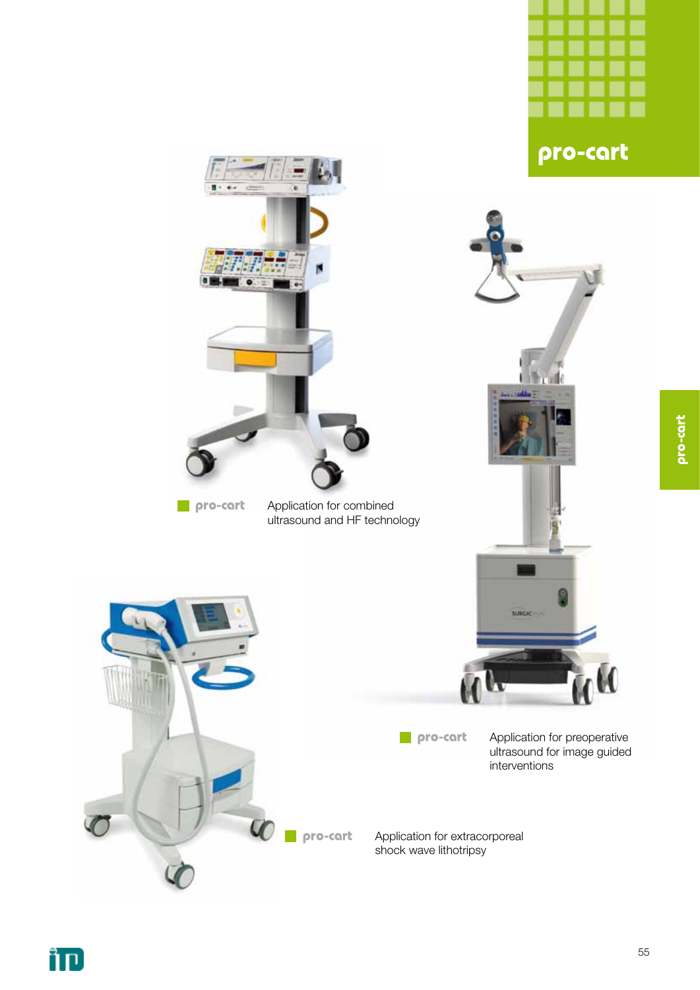

**pro-cart**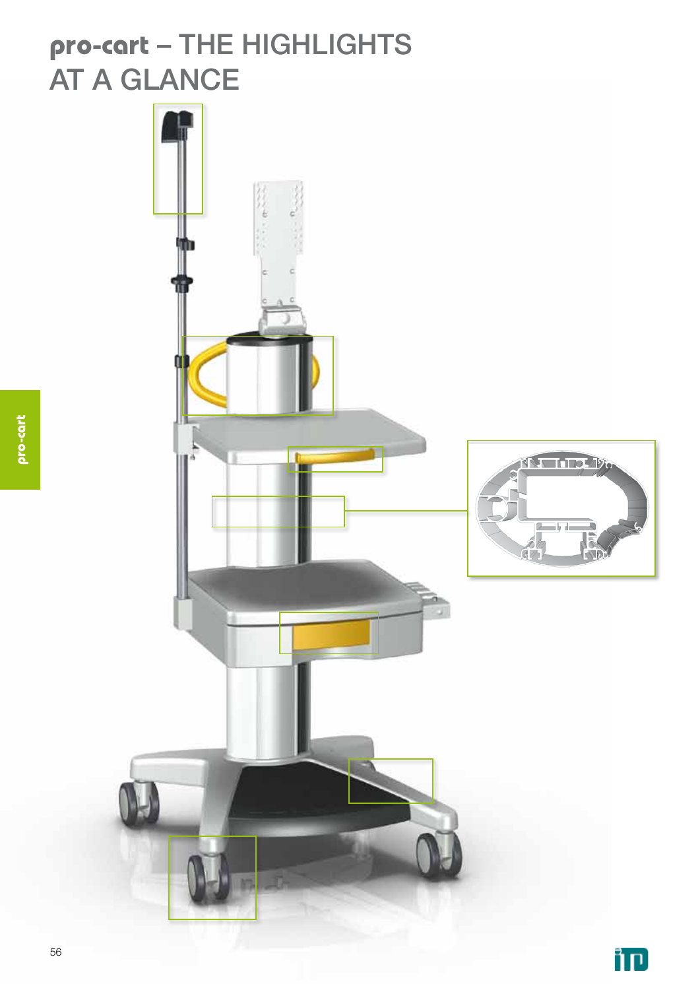### **pro-cart** – the Highlights **AT A GLANCE**

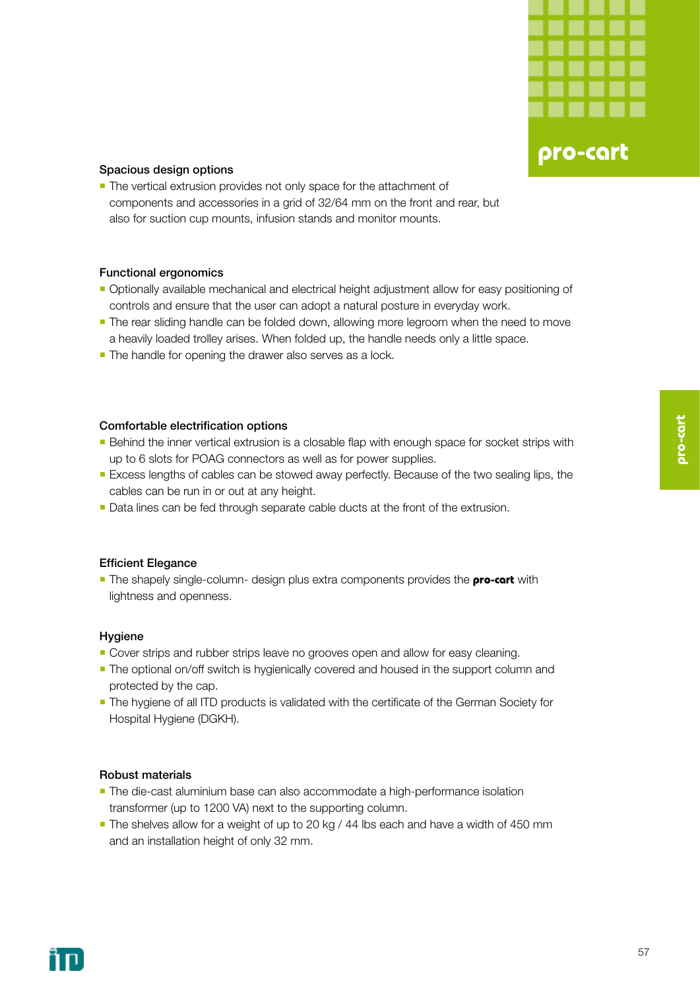

#### Spacious design options

**The vertical extrusion provides not only space for the attachment of** components and accessories in a grid of 32/64 mm on the front and rear, but also for suction cup mounts, infusion stands and monitor mounts.

#### Functional ergonomics

- Optionally available mechanical and electrical height adjustment allow for easy positioning of controls and ensure that the user can adopt a natural posture in everyday work.
- **The rear sliding handle can be folded down, allowing more legroom when the need to move** a heavily loaded trolley arises. When folded up, the handle needs only a little space.
- The handle for opening the drawer also serves as a lock.

#### Comfortable electrification options

- **Behind the inner vertical extrusion is a closable flap with enough space for socket strips with** up to 6 slots for POAG connectors as well as for power supplies.
- **Excess lengths of cables can be stowed away perfectly. Because of the two sealing lips, the** cables can be run in or out at any height.
- Data lines can be fed through separate cable ducts at the front of the extrusion.

#### Efficient Elegance

**The shapely single-column- design plus extra components provides the <b>pro-cart** with lightness and openness.

#### Hygiene

- **Cover strips and rubber strips leave no grooves open and allow for easy cleaning.**
- **The optional on/off switch is hygienically covered and housed in the support column and** protected by the cap.
- **-** The hygiene of all ITD products is validated with the certificate of the German Society for Hospital Hygiene (DGKH).

#### Robust materials

- **The die-cast aluminium base can also accommodate a high-performance isolation** transformer (up to 1200 VA) next to the supporting column.
- The shelves allow for a weight of up to 20 kg / 44 lbs each and have a width of 450 mm and an installation height of only 32 mm.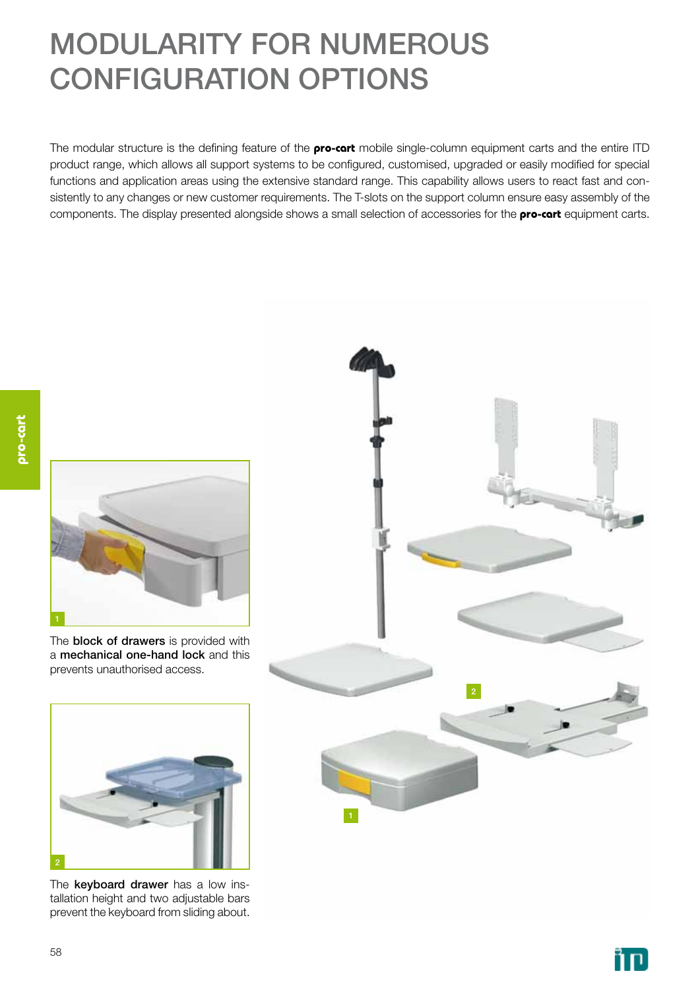### MODULARITY FOR NUMEROUS CONFIGURATION OPTIONS

The modular structure is the defining feature of the **pro-cart** mobile single-column equipment carts and the entire ITD product range, which allows all support systems to be configured, customised, upgraded or easily modified for special functions and application areas using the extensive standard range. This capability allows users to react fast and consistently to any changes or new customer requirements. The T-slots on the support column ensure easy assembly of the components. The display presented alongside shows a small selection of accessories for the **pro-cart** equipment carts.



The **block of drawers** is provided with a mechanical one-hand lock and this prevents unauthorised access.



The keyboard drawer has a low installation height and two adjustable bars prevent the keyboard from sliding about.



ּחדֿ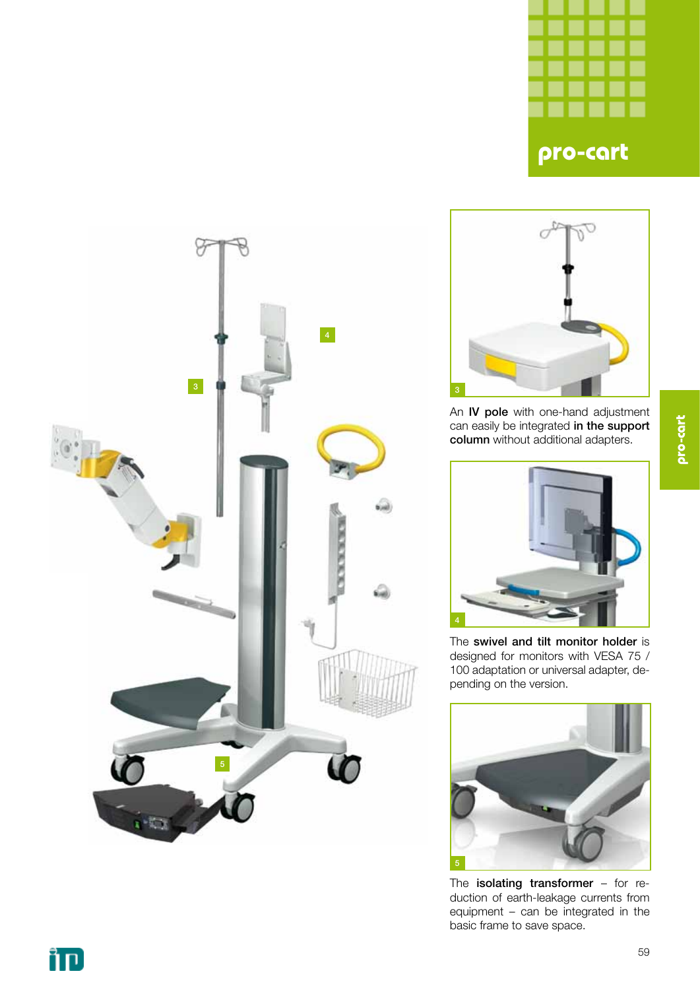





An IV pole with one-hand adjustment can easily be integrated in the support column without additional adapters.



The swivel and tilt monitor holder is designed for monitors with VESA 75 / 100 adaptation or universal adapter, depending on the version.



The isolating transformer - for reduction of earth-leakage currents from equipment – can be integrated in the basic frame to save space.

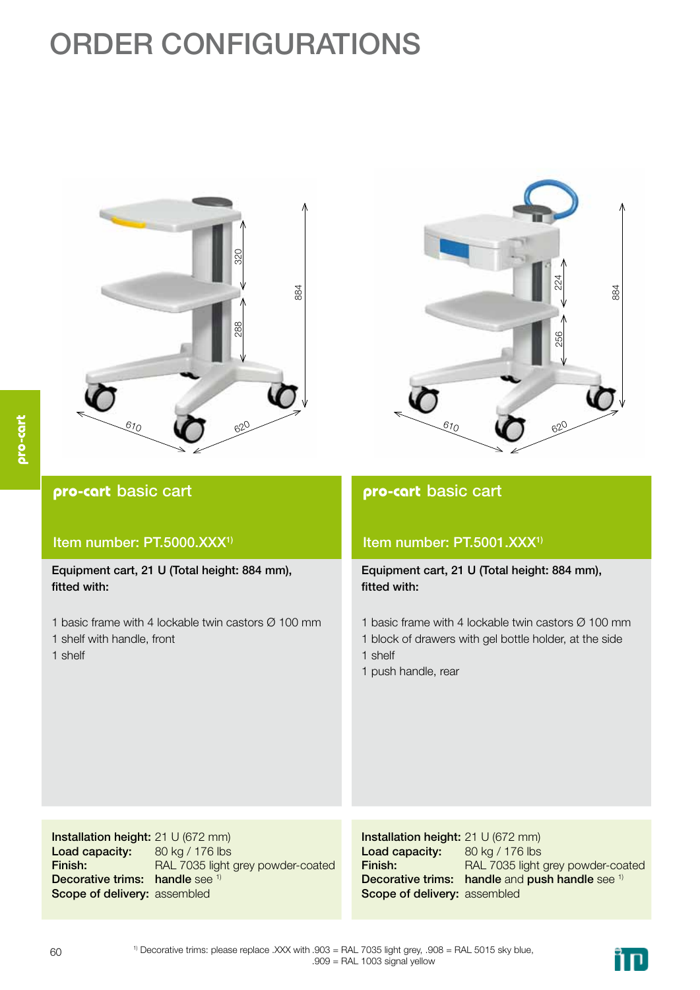## ORDER CONFIGURATIONS





#### **pro-cart** basic cart

#### Item number: PT.5000.XXX<sup>1)</sup>

Equipment cart, 21 U (Total height: 884 mm), fitted with:

- 1 basic frame with 4 lockable twin castors Ø 100 mm
- 1 shelf with handle, front

1 shelf

#### **pro-cart** basic cart

#### Item number: PT.5001.XXX<sup>1)</sup>

Equipment cart, 21 U (Total height: 884 mm), fitted with:

- 1 basic frame with 4 lockable twin castors Ø 100 mm
- 1 block of drawers with gel bottle holder, at the side
- 1 shelf
- 1 push handle, rear

Installation height: 21 U (672 mm) Load capacity: Finish: Decorative trims: handle see 1) Scope of delivery: assembled 80 kg / 176 lbs RAL 7035 light grey powder-coated

Installation height: 21 U (672 mm) Load capacity: Finish: Decorative trims: handle and push handle see 1) Scope of delivery: assembled 80 kg / 176 lbs RAL 7035 light grey powder-coated

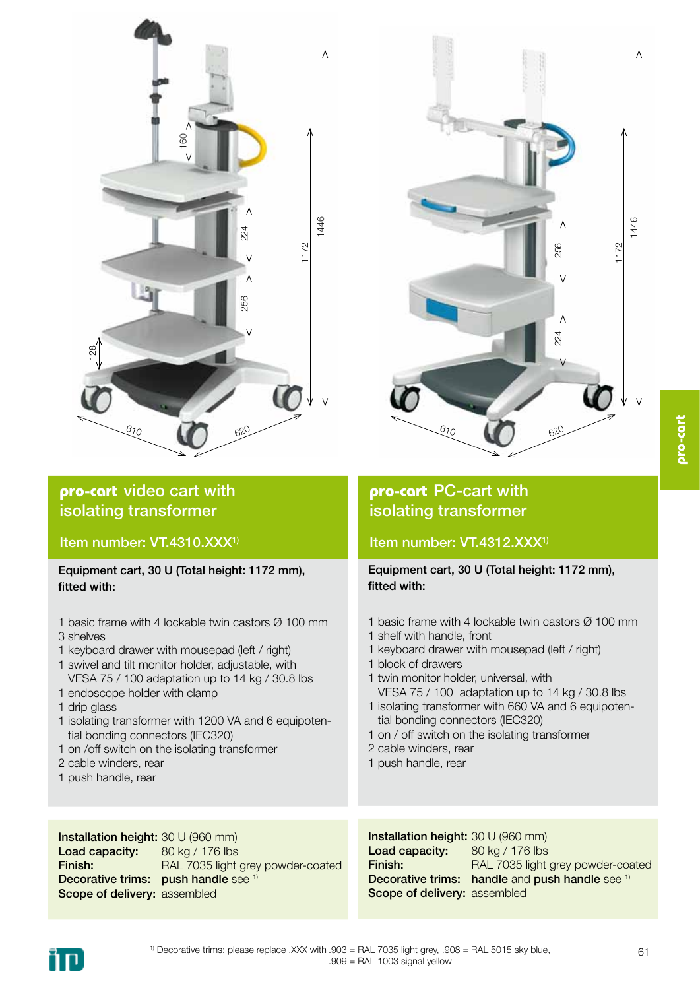

#### **pro-cart** video cart with isolating transformer

Item number: VT.4310.XXX<sup>1)</sup>

Equipment cart, 30 U (Total height: 1172 mm), fitted with:

- 1 basic frame with 4 lockable twin castors Ø 100 mm 3 shelves
- 1 keyboard drawer with mousepad (left / right)
- 1 swivel and tilt monitor holder, adjustable, with VESA 75 / 100 adaptation up to 14 kg / 30.8 lbs
- 1 endoscope holder with clamp
- 1 drip glass
- 1 isolating transformer with 1200 VA and 6 equipoten tial bonding connectors (IEC320)
- 1 on /off switch on the isolating transformer
- 2 cable winders, rear
- 1 push handle, rear



### **pro-cart** PC-cart with isolating transformer

### Item number: VT.4312.XXX<sup>1)</sup>

Equipment cart, 30 U (Total height: 1172 mm), fitted with:

- 1 basic frame with 4 lockable twin castors Ø 100 mm
- 1 shelf with handle, front
- 1 keyboard drawer with mousepad (left / right)
- 1 block of drawers
- 1 twin monitor holder, universal, with VESA 75 / 100 adaptation up to 14 kg / 30.8 lbs 1 isolating transformer with 660 VA and 6 equipoten-
- tial bonding connectors (IEC320)
- 1 on / off switch on the isolating transformer
- 2 cable winders, rear
- 1 push handle, rear

Installation height: 30 U (960 mm) Load capacity: Finish: Decorative trims: push handle see 1) Scope of delivery: assembled 80 kg / 176 lbs RAL 7035 light grey powder-coated

Installation height: 30 U (960 mm) Load capacity: Finish: Decorative trims: handle and push handle see 1) Scope of delivery: assembled 80 kg / 176 lbs RAL 7035 light grey powder-coated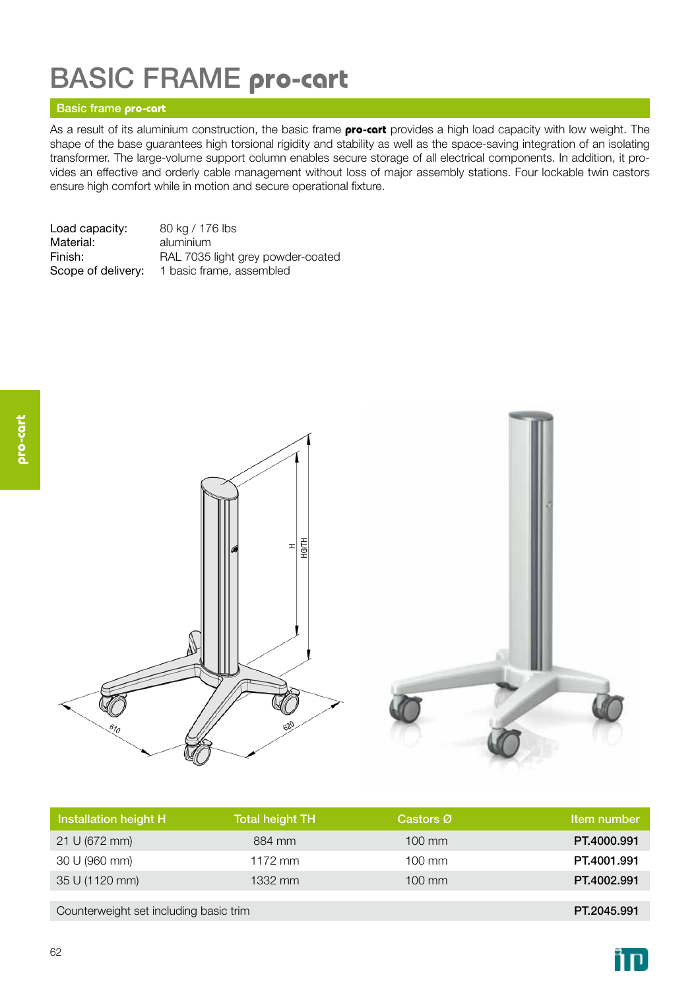### basic frame **pro-cart**

#### Basic frame **pro-cart**

As a result of its aluminium construction, the basic frame **pro-cart** provides a high load capacity with low weight. The shape of the base guarantees high torsional rigidity and stability as well as the space-saving integration of an isolating transformer. The large-volume support column enables secure storage of all electrical components. In addition, it provides an effective and orderly cable management without loss of major assembly stations. Four lockable twin castors ensure high comfort while in motion and secure operational fixture.

| Load capacity:     | 80 kg / 176 lbs                   |
|--------------------|-----------------------------------|
| Material:          | aluminium                         |
| Finish:            | RAL 7035 light grey powder-coated |
| Scope of delivery: | 1 basic frame, assembled          |



| Installation height H                  | <b>Total height TH</b> | Castors Ø        | Item number |
|----------------------------------------|------------------------|------------------|-------------|
| 21 U (672 mm)                          | 884 mm                 | $100 \text{ mm}$ | PT.4000.991 |
| 30 U (960 mm)                          | $1172$ mm              | $100 \text{ mm}$ | PT.4001.991 |
| 35 U (1120 mm)                         | 1332 mm                | $100 \text{ mm}$ | PT.4002.991 |
|                                        |                        |                  |             |
| Counterweight set including basic trim |                        |                  | PT.2045.991 |

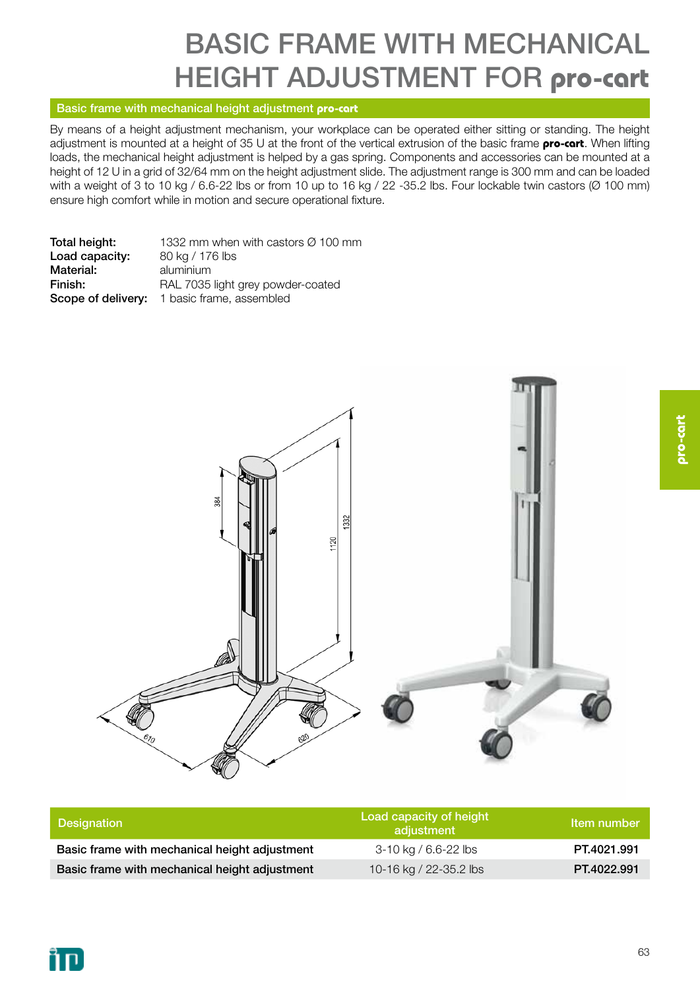### basic frame with mechanical height adjustment for **pro-cart**

#### Basic frame with mechanical height adjustment **pro-cart**

By means of a height adjustment mechanism, your workplace can be operated either sitting or standing. The height adjustment is mounted at a height of 35 U at the front of the vertical extrusion of the basic frame **pro-cart**. When lifting loads, the mechanical height adjustment is helped by a gas spring. Components and accessories can be mounted at a height of 12 U in a grid of 32/64 mm on the height adjustment slide. The adjustment range is 300 mm and can be loaded with a weight of 3 to 10 kg / 6.6-22 lbs or from 10 up to 16 kg / 22 -35.2 lbs. Four lockable twin castors (Ø 100 mm) ensure high comfort while in motion and secure operational fixture.

| Total height:  | 1332 mm when with castors $\varnothing$ 100 mm |
|----------------|------------------------------------------------|
| Load capacity: | 80 kg / 176 lbs                                |
| Material:      | aluminium                                      |
| Finish:        | RAL 7035 light grey powder-coated              |
|                | Scope of delivery: 1 basic frame, assembled    |



| <b>Designation</b>                            | Load capacity of height<br>adiustment | Item number |
|-----------------------------------------------|---------------------------------------|-------------|
| Basic frame with mechanical height adjustment | 3-10 kg / 6.6-22 lbs                  | PT.4021.991 |
| Basic frame with mechanical height adjustment | 10-16 kg / 22-35.2 lbs                | PT.4022.991 |

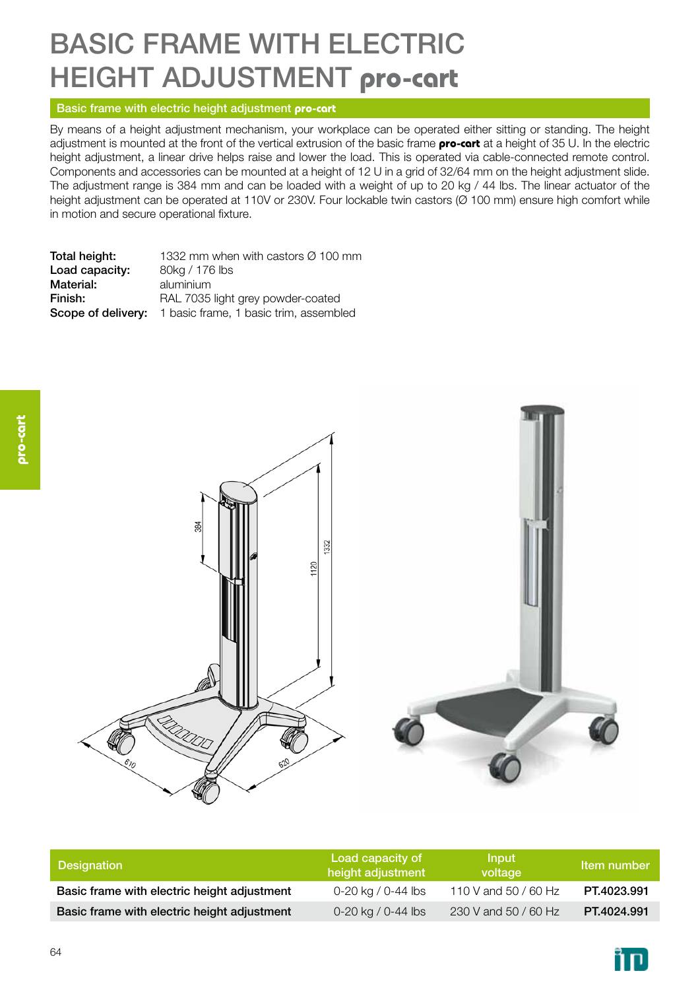### basic frame with electric height adjustment **pro-cart**

#### Basic frame with electric height adjustment **pro-cart**

By means of a height adjustment mechanism, your workplace can be operated either sitting or standing. The height adjustment is mounted at the front of the vertical extrusion of the basic frame **pro-cart** at a height of 35 U. In the electric height adjustment, a linear drive helps raise and lower the load. This is operated via cable-connected remote control. Components and accessories can be mounted at a height of 12 U in a grid of 32/64 mm on the height adjustment slide. The adjustment range is 384 mm and can be loaded with a weight of up to 20 kg / 44 lbs. The linear actuator of the height adjustment can be operated at 110V or 230V. Four lockable twin castors (Ø 100 mm) ensure high comfort while in motion and secure operational fixture.

**Total height:** 1332 mm when with castors  $\varnothing$  100 mm Load capacity: 80kg / 176 lbs Material: aluminium Finish: RAL 7035 light grey powder-coated Scope of delivery: 1 basic frame, 1 basic trim, assembled



| <b>Designation</b>                          | Load capacity of<br>height adjustment | Input<br>voltage     | Item number |
|---------------------------------------------|---------------------------------------|----------------------|-------------|
| Basic frame with electric height adjustment | 0-20 kg / 0-44 lbs                    | 110 V and 50 / 60 Hz | PT.4023.991 |
| Basic frame with electric height adjustment | 0-20 kg / 0-44 lbs                    | 230 V and 50 / 60 Hz | PT.4024.991 |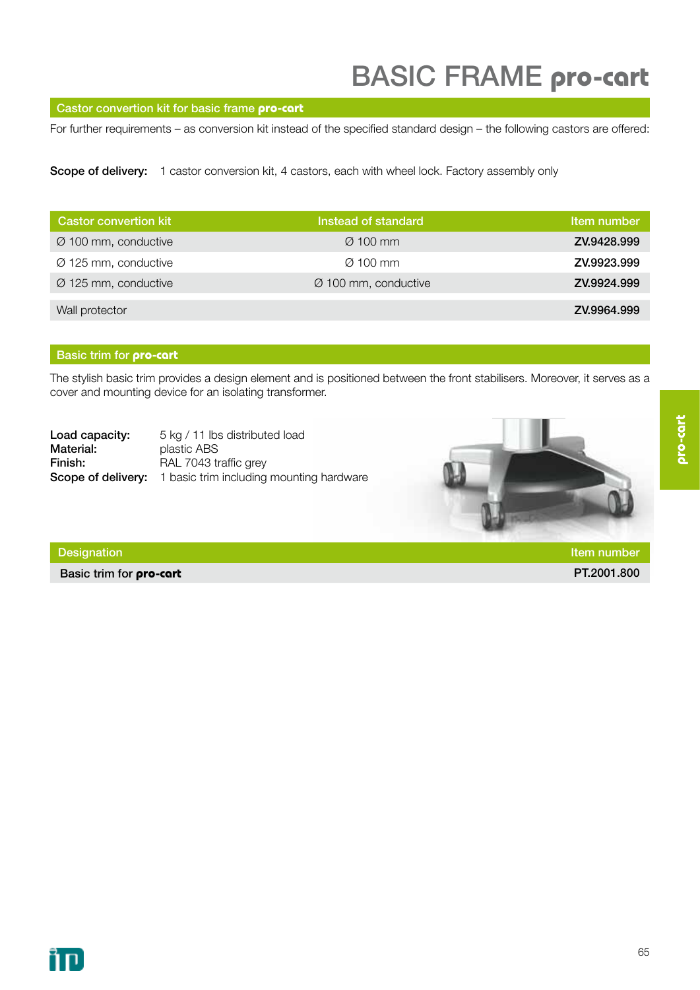#### Castor convertion kit for basic frame **pro-cart**

For further requirements – as conversion kit instead of the specified standard design – the following castors are offered:

Scope of delivery: 1 castor conversion kit, 4 castors, each with wheel lock. Factory assembly only

| <b>Castor convertion kit</b>     | Instead of standard              | Item number |
|----------------------------------|----------------------------------|-------------|
| $\varnothing$ 100 mm, conductive | $\varnothing$ 100 mm             | ZV.9428.999 |
| $\varnothing$ 125 mm, conductive | $\varnothing$ 100 mm             | ZV.9923.999 |
| $\varnothing$ 125 mm, conductive | $\varnothing$ 100 mm, conductive | ZV.9924.999 |
| Wall protector                   |                                  | ZV.9964.999 |

#### Basic trim for **pro-cart**

The stylish basic trim provides a design element and is positioned between the front stabilisers. Moreover, it serves as a cover and mounting device for an isolating transformer.

| Load capacity: | 5 kg / 11 lbs distributed load                                     |
|----------------|--------------------------------------------------------------------|
| Material:      | plastic ABS                                                        |
| Finish:        | RAL 7043 traffic grey                                              |
|                | <b>Scope of delivery:</b> 1 basic trim including mounting hardware |



Basic trim for **pro-cart** PT.2001.800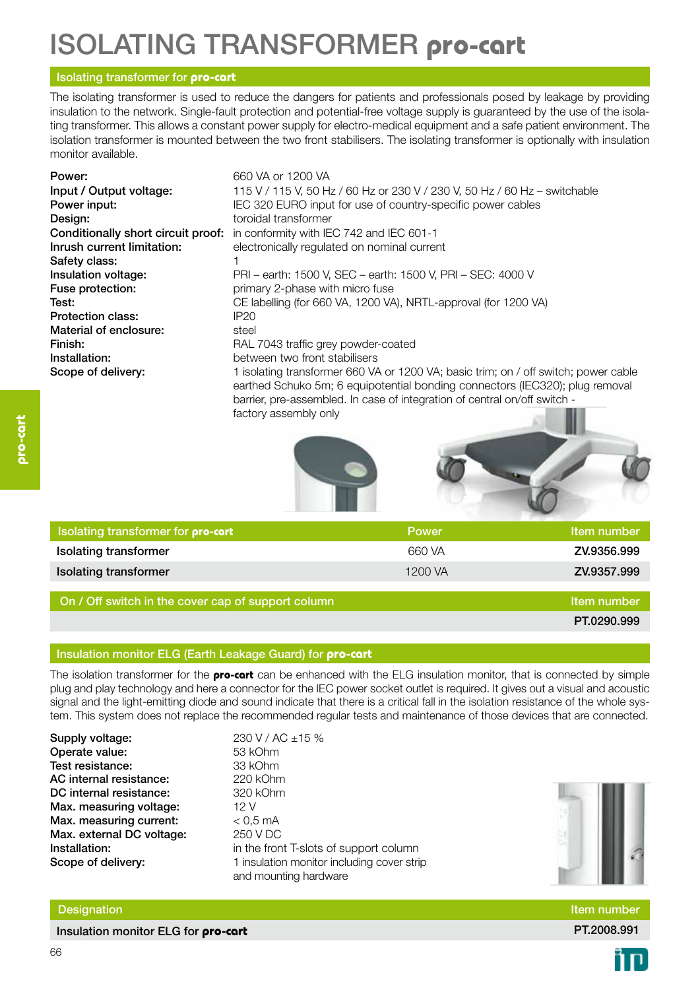### Isolating transformer **pro-cart**

#### Isolating transformer for **pro-cart**

The isolating transformer is used to reduce the dangers for patients and professionals posed by leakage by providing insulation to the network. Single-fault protection and potential-free voltage supply is guaranteed by the use of the isolating transformer. This allows a constant power supply for electro-medical equipment and a safe patient environment. The isolation transformer is mounted between the two front stabilisers. The isolating transformer is optionally with insulation monitor available.

| Power:<br>Input / Output voltage:<br>Power input: | 660 VA or 1200 VA<br>115 V / 115 V, 50 Hz / 60 Hz or 230 V / 230 V, 50 Hz / 60 Hz – switchable<br>IEC 320 EURO input for use of country-specific power cables                                                                                    |
|---------------------------------------------------|--------------------------------------------------------------------------------------------------------------------------------------------------------------------------------------------------------------------------------------------------|
| Design:                                           | toroidal transformer                                                                                                                                                                                                                             |
| Conditionally short circuit proof:                | in conformity with IEC 742 and IEC 601-1                                                                                                                                                                                                         |
| Inrush current limitation:                        | electronically regulated on nominal current                                                                                                                                                                                                      |
| Safety class:                                     |                                                                                                                                                                                                                                                  |
| Insulation voltage:                               | PRI - earth: 1500 V, SEC - earth: 1500 V, PRI - SEC: 4000 V                                                                                                                                                                                      |
| Fuse protection:                                  | primary 2-phase with micro fuse                                                                                                                                                                                                                  |
| Test:                                             | CE labelling (for 660 VA, 1200 VA), NRTL-approval (for 1200 VA)                                                                                                                                                                                  |
| Protection class:                                 | IP20                                                                                                                                                                                                                                             |
| Material of enclosure:                            | steel                                                                                                                                                                                                                                            |
| Finish:                                           | RAL 7043 traffic grey powder-coated                                                                                                                                                                                                              |
| Installation:                                     | between two front stabilisers                                                                                                                                                                                                                    |
| Scope of delivery:                                | 1 isolating transformer 660 VA or 1200 VA; basic trim; on / off switch; power cable<br>earthed Schuko 5m; 6 equipotential bonding connectors (IEC320); plug removal<br>barrier, pre-assembled. In case of integration of central on/off switch - |

factory assembly only





| I Isolating transformer for <b>pro-cart</b> | <b>Power</b> | Item number |
|---------------------------------------------|--------------|-------------|
| <b>Isolating transformer</b>                | 660 VA       | ZV.9356.999 |
| <b>Isolating transformer</b>                | 1200 VA      | ZV.9357.999 |

On / Off switch in the cover cap of support column Item number Item number

PT.0290.999

#### Insulation monitor ELG (Earth Leakage Guard) for **pro-cart**

The isolation transformer for the **pro-cart** can be enhanced with the ELG insulation monitor, that is connected by simple plug and play technology and here a connector for the IEC power socket outlet is required. It gives out a visual and acoustic signal and the light-emitting diode and sound indicate that there is a critical fall in the isolation resistance of the whole system. This system does not replace the recommended regular tests and maintenance of those devices that are connected.

Supply voltage:  $230 \text{ V}$  / AC  $\pm 15 \text{ %}$ Operate value: 53 kOhm Test resistance: 33 kOhm AC internal resistance: 220 kOhm DC internal resistance: 320 kOhm Max. measuring voltage: 12 V Max. measuring current:  $< 0.5$  mA Max. external DC voltage: 250 V DC **Installation:** in the front T-slots of support column Scope of delivery: 1 insulation monitor including cover strip

and mounting hardware

Designation Item number

Insulation monitor ELG for **pro-cart PT.2008.991 PT.2008.991** 

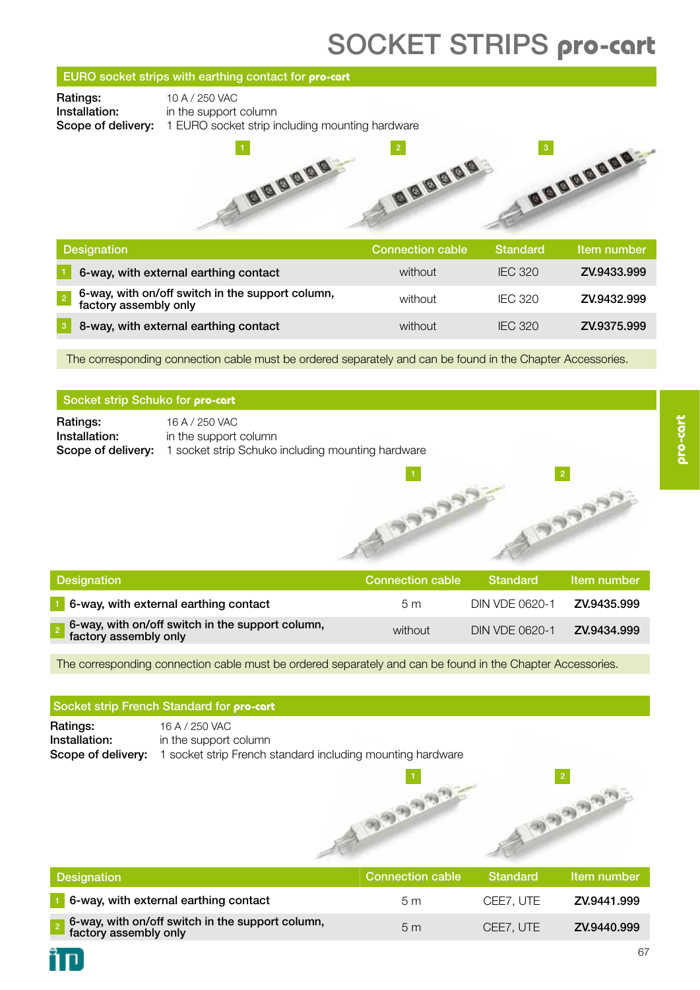### socket strips **pro-cart**

#### EURO socket strips with earthing contact for **pro-cart**

**Ratings:** 10 A / 250 VAC

**Installation:** in the support column

Scope of delivery: 1 EURO socket strip including mounting hardware



| <b>Designation</b>                                                        | <b>Connection cable</b> | <b>Standard</b> | Item number |
|---------------------------------------------------------------------------|-------------------------|-----------------|-------------|
| 6-way, with external earthing contact                                     | without                 | <b>IFC 320</b>  | ZV.9433.999 |
| 6-way, with on/off switch in the support column,<br>factory assembly only | without                 | <b>IFC 320</b>  | ZV.9432.999 |
| 8-way, with external earthing contact                                     | without                 | IFC 320         | ZV.9375.999 |

The corresponding connection cable must be ordered separately and can be found in the Chapter Accessories.

#### Socket strip Schuko for **pro-cart**

**Ratings:** 16 A / 250 VAC **Installation:** in the support column Scope of delivery: 1 socket strip Schuko including mounting hardware

2

| Designation                                                               | Connection cable | Standard       | Item number |
|---------------------------------------------------------------------------|------------------|----------------|-------------|
| 6-way, with external earthing contact                                     | 5 m              | DIN VDE 0620-1 | ZV.9435.999 |
| 6-way, with on/off switch in the support column,<br>factory assembly only | without          | DIN VDE 0620-1 | ZV.9434.999 |

**CCCC A** 

The corresponding connection cable must be ordered separately and can be found in the Chapter Accessories.

#### Socket strip French Standard for **pro-cart**

**Ratings:** 16 A / 250 VAC Installation: in the support column Scope of delivery: 1 socket strip French standard including mounting hardware



| <b>Designation</b>                                                        | Connection cable <b>b</b> | Standard  | Item number |
|---------------------------------------------------------------------------|---------------------------|-----------|-------------|
| 6-way, with external earthing contact                                     | 5 m                       | CEE7. UTE | ZV.9441.999 |
| 6-way, with on/off switch in the support column,<br>factory assembly only | 5 <sub>m</sub>            | CEE7. UTE | ZV.9440.999 |

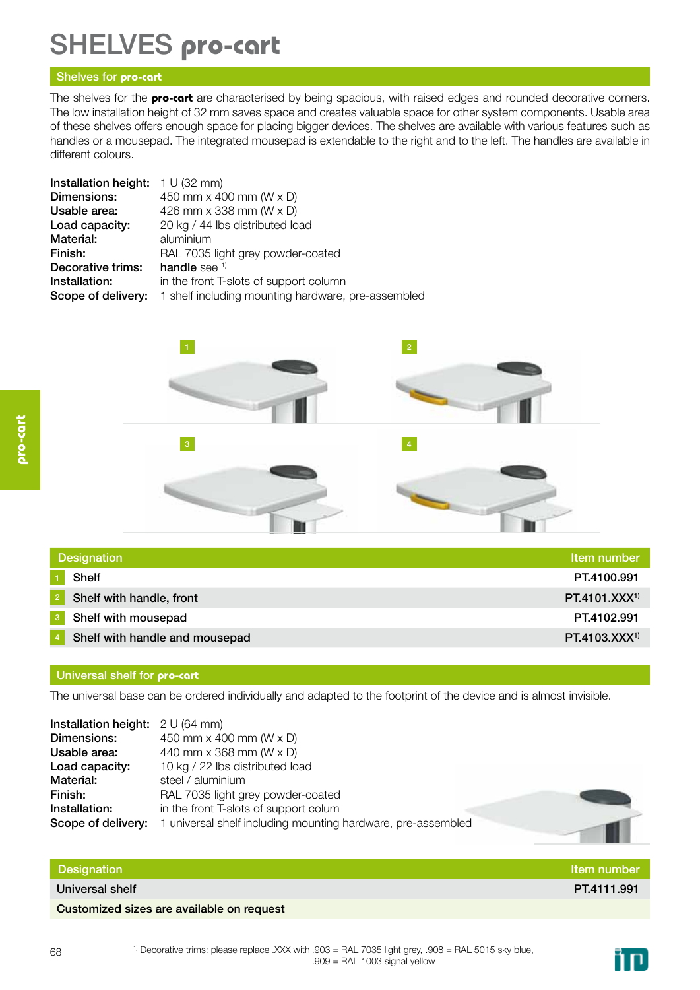### Shelves **pro-cart**

#### Shelves for **pro-cart**

The shelves for the **pro-cart** are characterised by being spacious, with raised edges and rounded decorative corners. The low installation height of 32 mm saves space and creates valuable space for other system components. Usable area of these shelves offers enough space for placing bigger devices. The shelves are available with various features such as handles or a mousepad. The integrated mousepad is extendable to the right and to the left. The handles are available in different colours.

| Installation height: | 1 U (32 mm)                                        |
|----------------------|----------------------------------------------------|
| Dimensions:          | 450 mm $\times$ 400 mm (W $\times$ D)              |
| Usable area:         | 426 mm x 338 mm (W x D)                            |
| Load capacity:       | 20 kg / 44 lbs distributed load                    |
| Material:            | aluminium                                          |
| Finish:              | RAL 7035 light grey powder-coated                  |
| Decorative trims:    | handle see $1$                                     |
| Installation:        | in the front T-slots of support column             |
| Scope of delivery:   | 1 shelf including mounting hardware, pre-assembled |



| <b>Designation</b> |                                | Item number       |
|--------------------|--------------------------------|-------------------|
|                    | <b>Shelf</b>                   | PT.4100.991       |
|                    | Shelf with handle, front       | $PT.4101.XXX^{1}$ |
|                    | Shelf with mousepad            | PT.4102.991       |
|                    | Shelf with handle and mousepad | $PT.4103.XXX^{1}$ |

#### Universal shelf for **pro-cart**

The universal base can be ordered individually and adapted to the footprint of the device and is almost invisible.

| <b>Installation height:</b> $2 \text{ U (64 mm)}$ |                                                              |
|---------------------------------------------------|--------------------------------------------------------------|
| Dimensions:                                       | 450 mm x 400 mm (W x D)                                      |
| Usable area:                                      | 440 mm x 368 mm (W x D)                                      |
| Load capacity:                                    | 10 kg / 22 lbs distributed load                              |
| Material:                                         | steel / aluminium                                            |
| Finish:                                           | RAL 7035 light grey powder-coated                            |
| Installation:                                     | in the front T-slots of support colum                        |
| Scope of delivery:                                | 1 universal shelf including mounting hardware, pre-assembled |

#### Designation and the contract of the contract of the contract of the contract of the contract of the contract of the contract of the contract of the contract of the contract of the contract of the contract of the contract o

Universal shelf PT.4111.991

Customized sizes are available on request



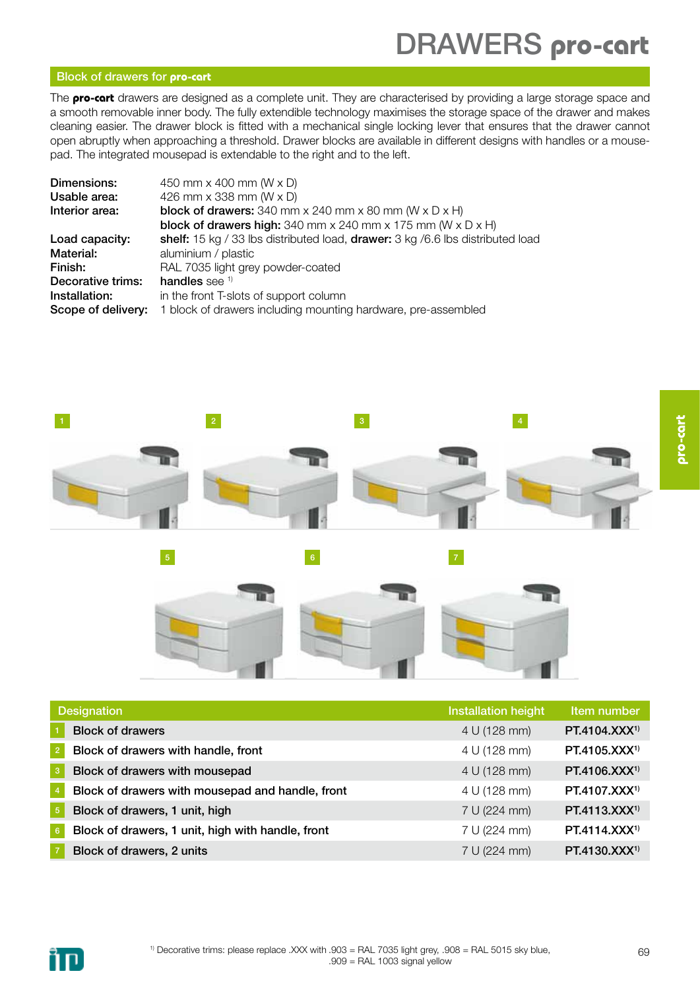### DRAWERS pro-cart

#### Block of drawers for **pro-cart**

The **pro-cart** drawers are designed as a complete unit. They are characterised by providing a large storage space and a smooth removable inner body. The fully extendible technology maximises the storage space of the drawer and makes cleaning easier. The drawer block is fitted with a mechanical single locking lever that ensures that the drawer cannot open abruptly when approaching a threshold. Drawer blocks are available in different designs with handles or a mousepad. The integrated mousepad is extendable to the right and to the left.

| Dimensions:        | 450 mm x 400 mm (W x D)                                                                  |  |  |
|--------------------|------------------------------------------------------------------------------------------|--|--|
| Usable area:       | 426 mm x 338 mm (W x D)                                                                  |  |  |
| Interior area:     | <b>block of drawers:</b> 340 mm $\times$ 240 mm $\times$ 80 mm (W $\times$ D $\times$ H) |  |  |
|                    | <b>block of drawers high:</b> 340 mm x 240 mm x 175 mm ( $W \times D \times H$ )         |  |  |
| Load capacity:     | shelf: 15 kg / 33 lbs distributed load, drawer: 3 kg / 6.6 lbs distributed load          |  |  |
| Material:          | aluminium / plastic                                                                      |  |  |
| Finish:            | RAL 7035 light grey powder-coated                                                        |  |  |
| Decorative trims:  | handles see $1$                                                                          |  |  |
| Installation:      | in the front T-slots of support column                                                   |  |  |
| Scope of delivery: | 1 block of drawers including mounting hardware, pre-assembled                            |  |  |
|                    |                                                                                          |  |  |



|                 | <b>Designation</b>                                | <b>Installation height</b> | Item number               |
|-----------------|---------------------------------------------------|----------------------------|---------------------------|
|                 | <b>Block of drawers</b>                           | 4 U (128 mm)               | PT.4104.XXX <sup>1)</sup> |
| $\sqrt{2}$      | Block of drawers with handle, front               | 4 U (128 mm)               | PT.4105.XXX <sup>1)</sup> |
| 3               | Block of drawers with mousepad                    | 4 U (128 mm)               | PT.4106.XXX <sup>1)</sup> |
| $\overline{4}$  | Block of drawers with mousepad and handle, front  | 4 U (128 mm)               | PT.4107.XXX <sup>1)</sup> |
| $\sqrt{5}$      | Block of drawers, 1 unit, high                    | 7 U (224 mm)               | PT.4113.XXX <sup>1)</sup> |
| $6\phantom{.}6$ | Block of drawers, 1 unit, high with handle, front | 7 U (224 mm)               | PT.4114.XXX <sup>1)</sup> |
|                 | Block of drawers, 2 units                         | 7 U (224 mm)               | $PT.4130.XXX^{1}$         |

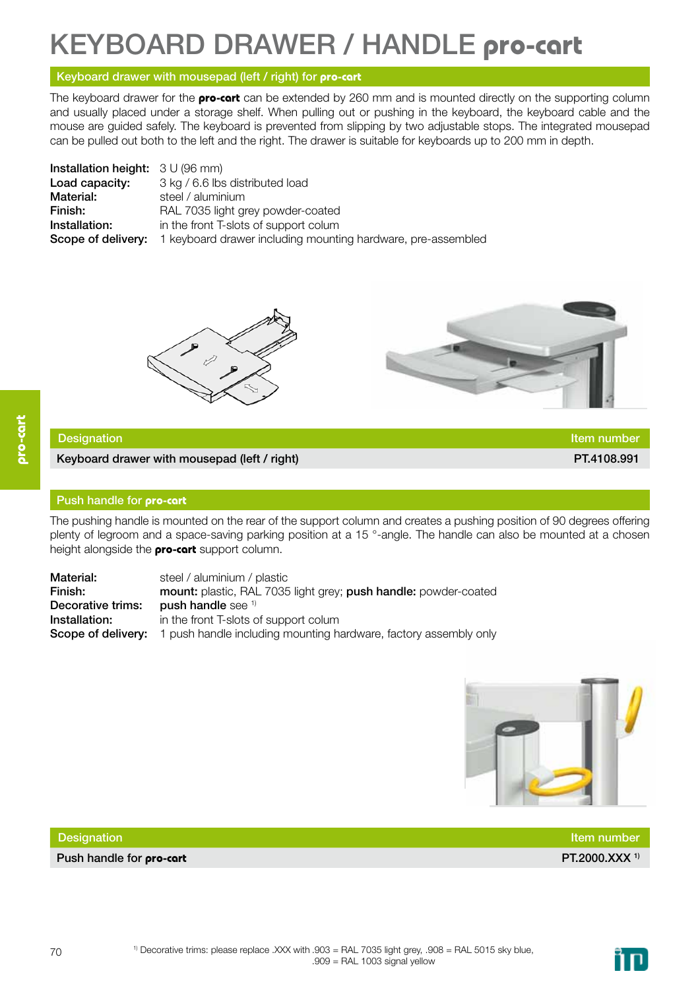### Keyboard drawer / handle **pro-cart**

#### Keyboard drawer with mousepad (left / right) for **pro-cart**

The keyboard drawer for the **pro-cart** can be extended by 260 mm and is mounted directly on the supporting column and usually placed under a storage shelf. When pulling out or pushing in the keyboard, the keyboard cable and the mouse are guided safely. The keyboard is prevented from slipping by two adjustable stops. The integrated mousepad can be pulled out both to the left and the right. The drawer is suitable for keyboards up to 200 mm in depth.

| <b>Installation height:</b> $3 \cup (96 \text{ mm})$ |                                                              |
|------------------------------------------------------|--------------------------------------------------------------|
| Load capacity:                                       | 3 kg / 6.6 lbs distributed load                              |
| Material:                                            | steel / aluminium                                            |
| Finish:                                              | RAL 7035 light grey powder-coated                            |
| Installation:                                        | in the front T-slots of support colum                        |
| Scope of delivery:                                   | 1 keyboard drawer including mounting hardware, pre-assembled |





#### Designation **Item number Item number Item number Item number Item number Item number**

Keyboard drawer with mousepad (left / right) **PT.4108.991** PT.4108.991

#### Push handle for **pro-cart**

The pushing handle is mounted on the rear of the support column and creates a pushing position of 90 degrees offering plenty of legroom and a space-saving parking position at a 15 °-angle. The handle can also be mounted at a chosen height alongside the **pro-cart** support column.

Material: steel / aluminium / plastic Finish: mount: plastic, RAL 7035 light grey; push handle: powder-coated Decorative trims: push handle see <sup>1)</sup> **Installation:** in the front T-slots of support colum Scope of delivery: 1 push handle including mounting hardware, factory assembly only



| <b>Designation</b>              | ltem number               |
|---------------------------------|---------------------------|
| Push handle for <b>pro-cart</b> | PT.2000.XXX <sup>1)</sup> |